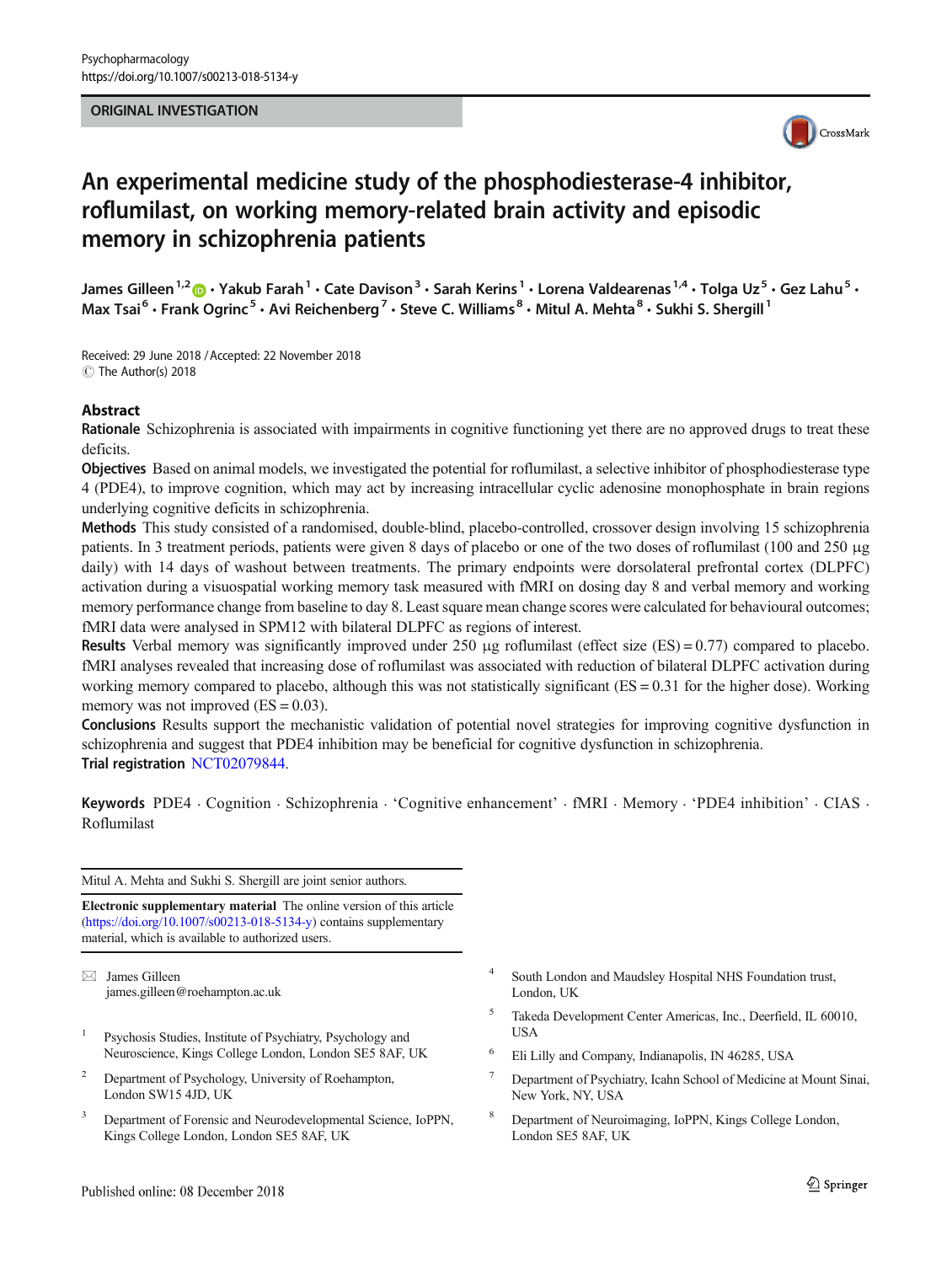#### ORIGINAL INVESTIGATION



# An experimental medicine study of the phosphodiesterase-4 inhibitor, roflumilast, on working memory-related brain activity and episodic memory in schizophrenia patients

James Gilleen<sup>1,2</sup>  $\odot$  · Yakub Farah<sup>1</sup> · Cate Davison<sup>3</sup> · Sarah Kerins<sup>1</sup> · Lorena Valdearenas<sup>1,4</sup> · Tolga Uz<sup>5</sup> · Gez Lahu<sup>5</sup> · Max Tsai<sup>6</sup> • Frank Ogrinc<sup>5</sup> • Avi Reichenberg<sup>7</sup> • Steve C. Williams<sup>8</sup> • Mitul A. Mehta<sup>8</sup> • Sukhi S. Shergill<sup>1</sup>

Received: 29 June 2018 /Accepted: 22 November 2018 C The Author(s) 2018

#### Abstract

Rationale Schizophrenia is associated with impairments in cognitive functioning yet there are no approved drugs to treat these deficits.

Objectives Based on animal models, we investigated the potential for roflumilast, a selective inhibitor of phosphodiesterase type 4 (PDE4), to improve cognition, which may act by increasing intracellular cyclic adenosine monophosphate in brain regions underlying cognitive deficits in schizophrenia.

Methods This study consisted of a randomised, double-blind, placebo-controlled, crossover design involving 15 schizophrenia patients. In 3 treatment periods, patients were given 8 days of placebo or one of the two doses of roflumilast (100 and 250 μg daily) with 14 days of washout between treatments. The primary endpoints were dorsolateral prefrontal cortex (DLPFC) activation during a visuospatial working memory task measured with fMRI on dosing day 8 and verbal memory and working memory performance change from baseline to day 8. Least square mean change scores were calculated for behavioural outcomes; fMRI data were analysed in SPM12 with bilateral DLPFC as regions of interest.

Results Verbal memory was significantly improved under 250  $\mu$ g roflumilast (effect size (ES) = 0.77) compared to placebo. fMRI analyses revealed that increasing dose of roflumilast was associated with reduction of bilateral DLPFC activation during working memory compared to placebo, although this was not statistically significant  $(ES = 0.31$  for the higher dose). Working memory was not improved  $(ES = 0.03)$ .

Conclusions Results support the mechanistic validation of potential novel strategies for improving cognitive dysfunction in schizophrenia and suggest that PDE4 inhibition may be beneficial for cognitive dysfunction in schizophrenia. Trial registration [NCT02079844](https://www.clinicaltrials.gov/ct2/show/NCT02079844).

Keywords PDE4  $\cdot$  Cognition  $\cdot$  Schizophrenia  $\cdot$  'Cognitive enhancement'  $\cdot$  fMRI  $\cdot$  Memory  $\cdot$  'PDE4 inhibition'  $\cdot$  CIAS  $\cdot$ Roflumilast

Mitul A. Mehta and Sukhi S. Shergill are joint senior authors.

Electronic supplementary material The online version of this article (<https://doi.org/10.1007/s00213-018-5134-y>) contains supplementary material, which is available to authorized users.

 $\boxtimes$  James Gilleen [james.gilleen@roehampton.ac.uk](mailto:james.gilleen@roehampton.ac.uk)

- <sup>1</sup> Psychosis Studies, Institute of Psychiatry, Psychology and Neuroscience, Kings College London, London SE5 8AF, UK
- <sup>2</sup> Department of Psychology, University of Roehampton, London SW15 4JD, UK
- <sup>3</sup> Department of Forensic and Neurodevelopmental Science, IoPPN, Kings College London, London SE5 8AF, UK
- South London and Maudsley Hospital NHS Foundation trust, London, UK
- <sup>5</sup> Takeda Development Center Americas, Inc., Deerfield, IL 60010, USA
- <sup>6</sup> Eli Lilly and Company, Indianapolis, IN 46285, USA
- Department of Psychiatry, Icahn School of Medicine at Mount Sinai, New York, NY, USA
- <sup>8</sup> Department of Neuroimaging, IoPPN, Kings College London, London SE5 8AF, UK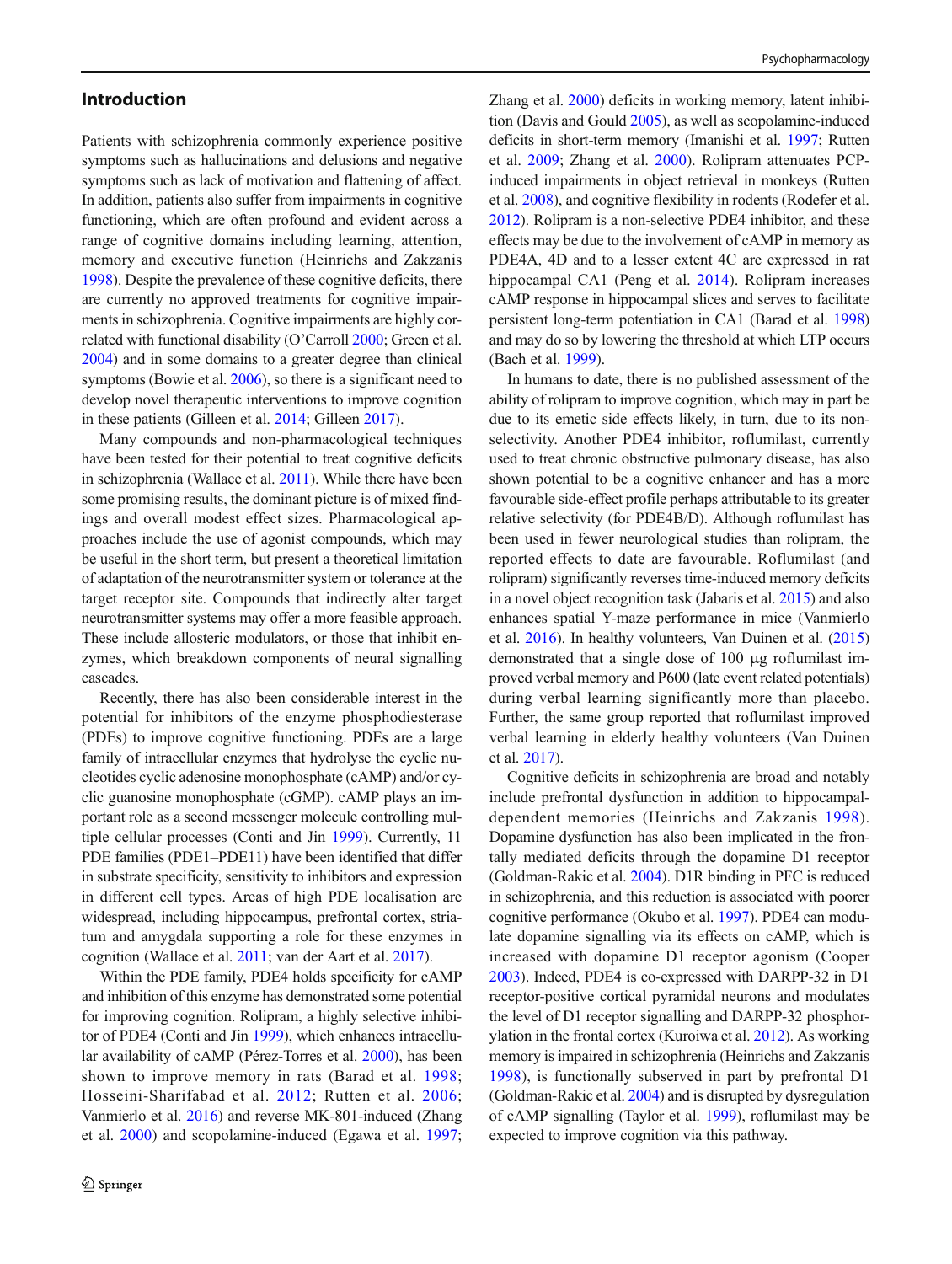### Introduction

Patients with schizophrenia commonly experience positive symptoms such as hallucinations and delusions and negative symptoms such as lack of motivation and flattening of affect. In addition, patients also suffer from impairments in cognitive functioning, which are often profound and evident across a range of cognitive domains including learning, attention, memory and executive function (Heinrichs and Zakzanis [1998\)](#page-9-0). Despite the prevalence of these cognitive deficits, there are currently no approved treatments for cognitive impairments in schizophrenia. Cognitive impairments are highly correlated with functional disability (O'Carroll [2000](#page-9-0); Green et al. [2004\)](#page-9-0) and in some domains to a greater degree than clinical symptoms (Bowie et al. [2006\)](#page-9-0), so there is a significant need to develop novel therapeutic interventions to improve cognition in these patients (Gilleen et al. [2014](#page-9-0); Gilleen [2017](#page-9-0)).

Many compounds and non-pharmacological techniques have been tested for their potential to treat cognitive deficits in schizophrenia (Wallace et al. [2011](#page-10-0)). While there have been some promising results, the dominant picture is of mixed findings and overall modest effect sizes. Pharmacological approaches include the use of agonist compounds, which may be useful in the short term, but present a theoretical limitation of adaptation of the neurotransmitter system or tolerance at the target receptor site. Compounds that indirectly alter target neurotransmitter systems may offer a more feasible approach. These include allosteric modulators, or those that inhibit enzymes, which breakdown components of neural signalling cascades.

Recently, there has also been considerable interest in the potential for inhibitors of the enzyme phosphodiesterase (PDEs) to improve cognitive functioning. PDEs are a large family of intracellular enzymes that hydrolyse the cyclic nucleotides cyclic adenosine monophosphate (cAMP) and/or cyclic guanosine monophosphate (cGMP). cAMP plays an important role as a second messenger molecule controlling multiple cellular processes (Conti and Jin [1999](#page-9-0)). Currently, 11 PDE families (PDE1–PDE11) have been identified that differ in substrate specificity, sensitivity to inhibitors and expression in different cell types. Areas of high PDE localisation are widespread, including hippocampus, prefrontal cortex, striatum and amygdala supporting a role for these enzymes in cognition (Wallace et al. [2011;](#page-10-0) van der Aart et al. [2017](#page-10-0)).

Within the PDE family, PDE4 holds specificity for cAMP and inhibition of this enzyme has demonstrated some potential for improving cognition. Rolipram, a highly selective inhibitor of PDE4 (Conti and Jin [1999\)](#page-9-0), which enhances intracellular availability of cAMP (Pérez-Torres et al. [2000](#page-9-0)), has been shown to improve memory in rats (Barad et al. [1998](#page-9-0); Hosseini-Sharifabad et al. [2012](#page-9-0); Rutten et al. [2006](#page-10-0); Vanmierlo et al. [2016](#page-10-0)) and reverse MK-801-induced (Zhang et al. [2000](#page-10-0)) and scopolamine-induced (Egawa et al. [1997](#page-9-0); Zhang et al. [2000](#page-10-0)) deficits in working memory, latent inhibition (Davis and Gould [2005](#page-9-0)), as well as scopolamine-induced deficits in short-term memory (Imanishi et al. [1997](#page-9-0); Rutten et al. [2009](#page-10-0); Zhang et al. [2000\)](#page-10-0). Rolipram attenuates PCPinduced impairments in object retrieval in monkeys (Rutten et al. [2008](#page-10-0)), and cognitive flexibility in rodents (Rodefer et al. [2012\)](#page-10-0). Rolipram is a non-selective PDE4 inhibitor, and these effects may be due to the involvement of cAMP in memory as PDE4A, 4D and to a lesser extent 4C are expressed in rat hippocampal CA1 (Peng et al. [2014](#page-9-0)). Rolipram increases cAMP response in hippocampal slices and serves to facilitate persistent long-term potentiation in CA1 (Barad et al. [1998](#page-9-0)) and may do so by lowering the threshold at which LTP occurs (Bach et al. [1999](#page-9-0)).

In humans to date, there is no published assessment of the ability of rolipram to improve cognition, which may in part be due to its emetic side effects likely, in turn, due to its nonselectivity. Another PDE4 inhibitor, roflumilast, currently used to treat chronic obstructive pulmonary disease, has also shown potential to be a cognitive enhancer and has a more favourable side-effect profile perhaps attributable to its greater relative selectivity (for PDE4B/D). Although roflumilast has been used in fewer neurological studies than rolipram, the reported effects to date are favourable. Roflumilast (and rolipram) significantly reverses time-induced memory deficits in a novel object recognition task (Jabaris et al. [2015](#page-9-0)) and also enhances spatial Y-maze performance in mice (Vanmierlo et al. [2016](#page-10-0)). In healthy volunteers, Van Duinen et al. [\(2015](#page-10-0)) demonstrated that a single dose of 100 μg roflumilast improved verbal memory and P600 (late event related potentials) during verbal learning significantly more than placebo. Further, the same group reported that roflumilast improved verbal learning in elderly healthy volunteers (Van Duinen et al. [2017](#page-10-0)).

Cognitive deficits in schizophrenia are broad and notably include prefrontal dysfunction in addition to hippocampaldependent memories (Heinrichs and Zakzanis [1998](#page-9-0)). Dopamine dysfunction has also been implicated in the frontally mediated deficits through the dopamine D1 receptor (Goldman-Rakic et al. [2004](#page-9-0)). D1R binding in PFC is reduced in schizophrenia, and this reduction is associated with poorer cognitive performance (Okubo et al. [1997\)](#page-9-0). PDE4 can modulate dopamine signalling via its effects on cAMP, which is increased with dopamine D1 receptor agonism (Cooper [2003\)](#page-9-0). Indeed, PDE4 is co-expressed with DARPP-32 in D1 receptor-positive cortical pyramidal neurons and modulates the level of D1 receptor signalling and DARPP-32 phosphorylation in the frontal cortex (Kuroiwa et al. [2012](#page-9-0)). As working memory is impaired in schizophrenia (Heinrichs and Zakzanis [1998](#page-9-0)), is functionally subserved in part by prefrontal D1 (Goldman-Rakic et al. [2004\)](#page-9-0) and is disrupted by dysregulation of cAMP signalling (Taylor et al. [1999\)](#page-10-0), roflumilast may be expected to improve cognition via this pathway.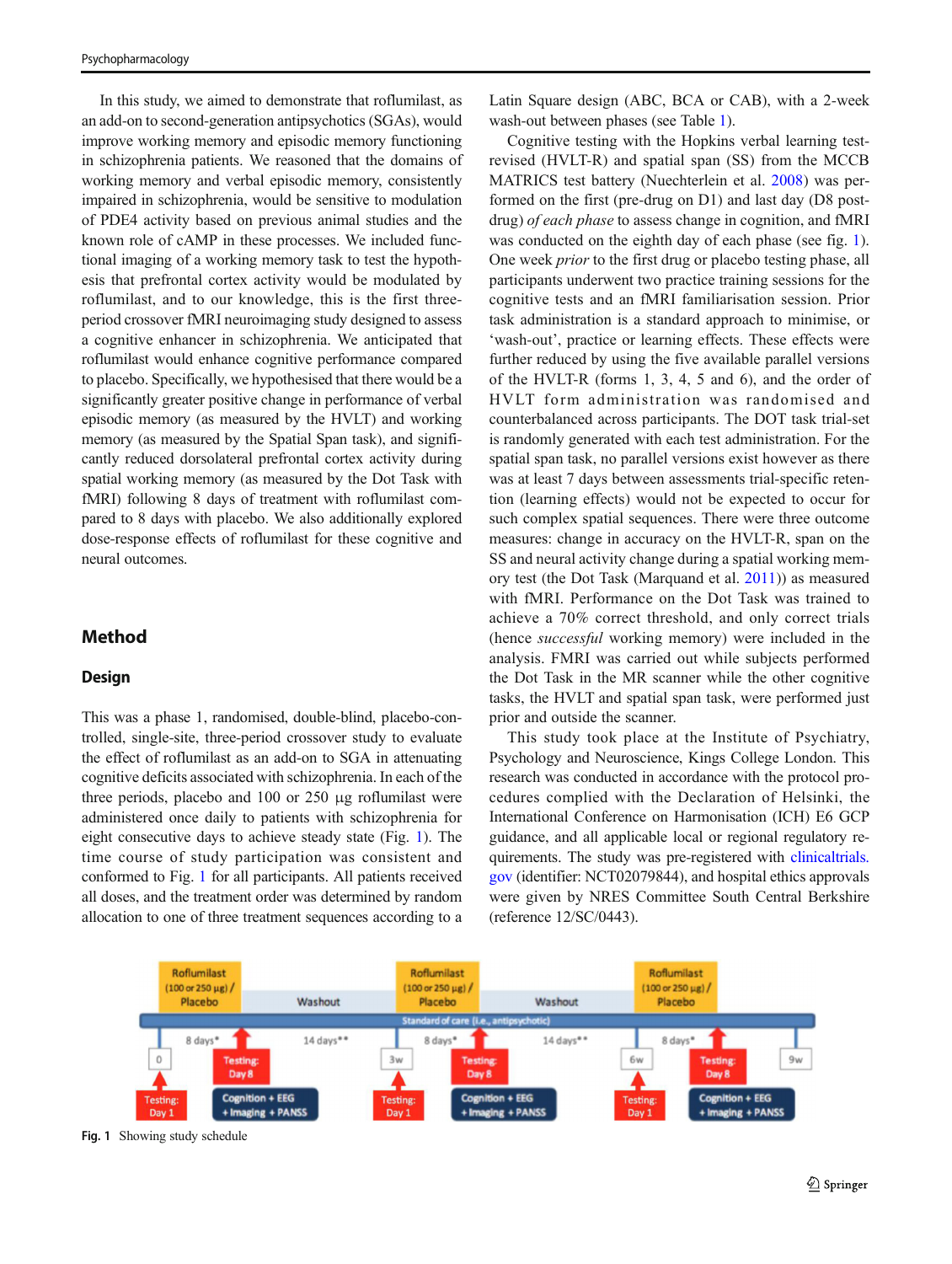In this study, we aimed to demonstrate that roflumilast, as an add-on to second-generation antipsychotics (SGAs), would improve working memory and episodic memory functioning in schizophrenia patients. We reasoned that the domains of working memory and verbal episodic memory, consistently impaired in schizophrenia, would be sensitive to modulation of PDE4 activity based on previous animal studies and the known role of cAMP in these processes. We included functional imaging of a working memory task to test the hypothesis that prefrontal cortex activity would be modulated by roflumilast, and to our knowledge, this is the first threeperiod crossover fMRI neuroimaging study designed to assess a cognitive enhancer in schizophrenia. We anticipated that roflumilast would enhance cognitive performance compared to placebo. Specifically, we hypothesised that there would be a significantly greater positive change in performance of verbal episodic memory (as measured by the HVLT) and working memory (as measured by the Spatial Span task), and significantly reduced dorsolateral prefrontal cortex activity during spatial working memory (as measured by the Dot Task with fMRI) following 8 days of treatment with roflumilast compared to 8 days with placebo. We also additionally explored dose-response effects of roflumilast for these cognitive and neural outcomes.

# Method

#### **Design**

This was a phase 1, randomised, double-blind, placebo-controlled, single-site, three-period crossover study to evaluate the effect of roflumilast as an add-on to SGA in attenuating cognitive deficits associated with schizophrenia. In each of the three periods, placebo and 100 or 250 μg roflumilast were administered once daily to patients with schizophrenia for eight consecutive days to achieve steady state (Fig. 1). The time course of study participation was consistent and conformed to Fig. 1 for all participants. All patients received all doses, and the treatment order was determined by random allocation to one of three treatment sequences according to a

Latin Square design (ABC, BCA or CAB), with a 2-week wash-out between phases (see Table [1\)](#page-3-0).

Cognitive testing with the Hopkins verbal learning testrevised (HVLT-R) and spatial span (SS) from the MCCB MATRICS test battery (Nuechterlein et al. [2008\)](#page-9-0) was performed on the first (pre-drug on D1) and last day (D8 postdrug) of each phase to assess change in cognition, and fMRI was conducted on the eighth day of each phase (see fig. 1). One week prior to the first drug or placebo testing phase, all participants underwent two practice training sessions for the cognitive tests and an fMRI familiarisation session. Prior task administration is a standard approach to minimise, or 'wash-out', practice or learning effects. These effects were further reduced by using the five available parallel versions of the HVLT-R (forms 1, 3, 4, 5 and 6), and the order of HVLT form administration was randomised and counterbalanced across participants. The DOT task trial-set is randomly generated with each test administration. For the spatial span task, no parallel versions exist however as there was at least 7 days between assessments trial-specific retention (learning effects) would not be expected to occur for such complex spatial sequences. There were three outcome measures: change in accuracy on the HVLT-R, span on the SS and neural activity change during a spatial working memory test (the Dot Task (Marquand et al. [2011\)](#page-9-0)) as measured with fMRI. Performance on the Dot Task was trained to achieve a 70% correct threshold, and only correct trials (hence successful working memory) were included in the analysis. FMRI was carried out while subjects performed the Dot Task in the MR scanner while the other cognitive tasks, the HVLT and spatial span task, were performed just prior and outside the scanner.

This study took place at the Institute of Psychiatry, Psychology and Neuroscience, Kings College London. This research was conducted in accordance with the protocol procedures complied with the Declaration of Helsinki, the International Conference on Harmonisation (ICH) E6 GCP guidance, and all applicable local or regional regulatory requirements. The study was pre-registered with [clinicaltrials.](http://clinicaltrials.gov) [gov](http://clinicaltrials.gov) (identifier: NCT02079844), and hospital ethics approvals were given by NRES Committee South Central Berkshire (reference 12/SC/0443).



Fig. 1 Showing study schedule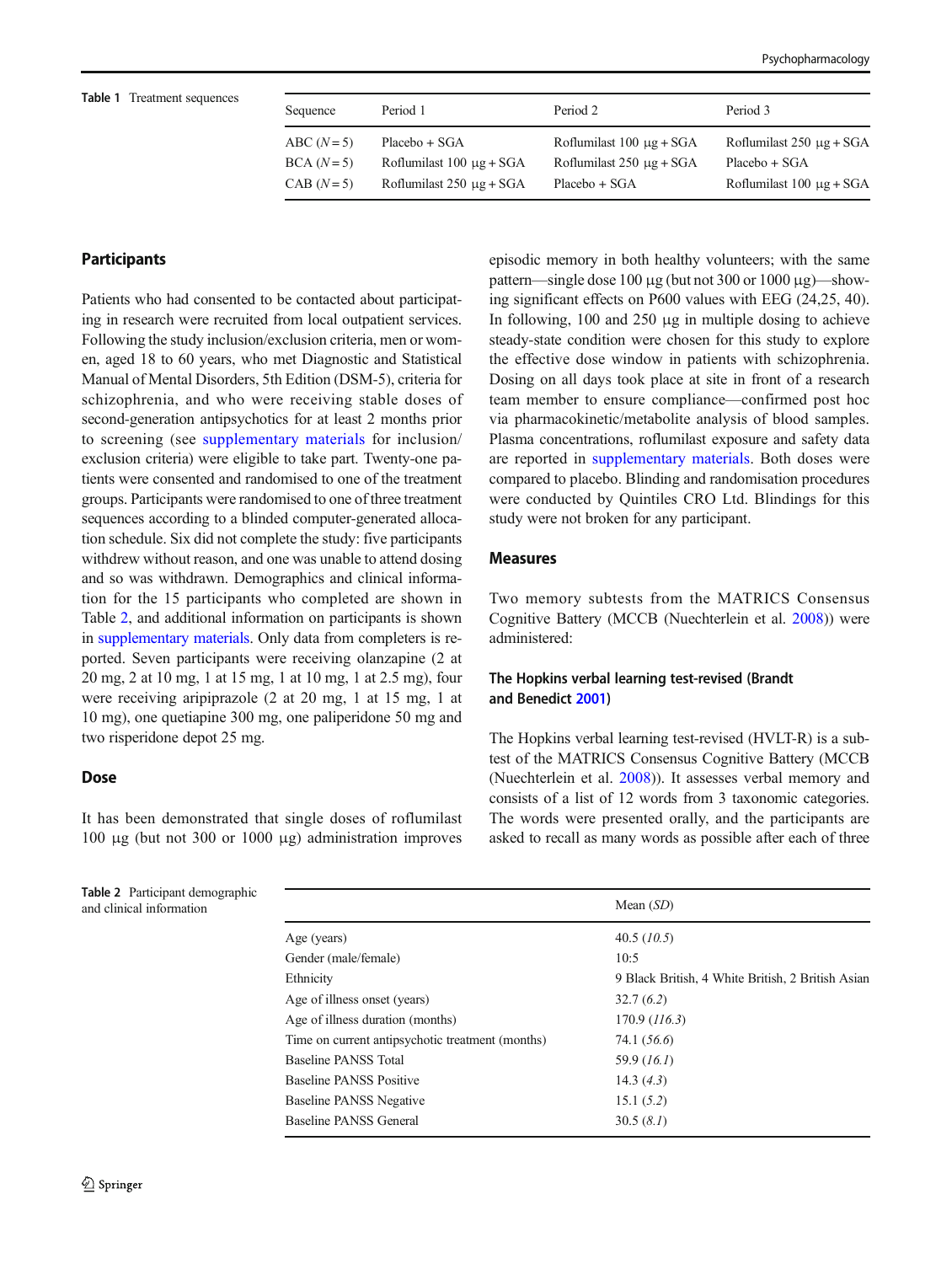### <span id="page-3-0"></span>Table 1 Treatment sequences

| Period 1                      | Period 2                      | Period 3                      |  |
|-------------------------------|-------------------------------|-------------------------------|--|
| Placebo + SGA                 | Roflumilast $100 \mu g + SGA$ | Roflumilast $250 \mu g + SGA$ |  |
| Roflumilast $100 \mu g + SGA$ |                               | $Placebo + SGA$               |  |
| Roflumilast $250 \mu g + SGA$ | Placebo + SGA                 | Roflumilast $100 \mu g + SGA$ |  |
|                               |                               | Roflumilast $250 \mu g + SGA$ |  |

#### **Participants**

Patients who had consented to be contacted about participating in research were recruited from local outpatient services. Following the study inclusion/exclusion criteria, men or women, aged 18 to 60 years, who met Diagnostic and Statistical Manual of Mental Disorders, 5th Edition (DSM-5), criteria for schizophrenia, and who were receiving stable doses of second-generation antipsychotics for at least 2 months prior to screening (see supplementary materials for inclusion/ exclusion criteria) were eligible to take part. Twenty-one patients were consented and randomised to one of the treatment groups. Participants were randomised to one of three treatment sequences according to a blinded computer-generated allocation schedule. Six did not complete the study: five participants withdrew without reason, and one was unable to attend dosing and so was withdrawn. Demographics and clinical information for the 15 participants who completed are shown in Table 2, and additional information on participants is shown in supplementary materials. Only data from completers is reported. Seven participants were receiving olanzapine (2 at 20 mg, 2 at 10 mg, 1 at 15 mg, 1 at 10 mg, 1 at 2.5 mg), four were receiving aripiprazole (2 at 20 mg, 1 at 15 mg, 1 at 10 mg), one quetiapine 300 mg, one paliperidone 50 mg and two risperidone depot 25 mg.

#### Dose

It has been demonstrated that single doses of roflumilast 100 μg (but not 300 or 1000 μg) administration improves

episodic memory in both healthy volunteers; with the same pattern—single dose 100 μg (but not 300 or 1000 μg)—showing significant effects on P600 values with EEG (24,25, 40). In following, 100 and 250 μg in multiple dosing to achieve steady-state condition were chosen for this study to explore the effective dose window in patients with schizophrenia. Dosing on all days took place at site in front of a research team member to ensure compliance—confirmed post hoc via pharmacokinetic/metabolite analysis of blood samples. Plasma concentrations, roflumilast exposure and safety data are reported in supplementary materials. Both doses were compared to placebo. Blinding and randomisation procedures were conducted by Quintiles CRO Ltd. Blindings for this study were not broken for any participant.

#### Measures

Two memory subtests from the MATRICS Consensus Cognitive Battery (MCCB (Nuechterlein et al. [2008](#page-9-0))) were administered:

# The Hopkins verbal learning test-revised (Brandt and Benedict [2001\)](#page-9-0)

The Hopkins verbal learning test-revised (HVLT-R) is a subtest of the MATRICS Consensus Cognitive Battery (MCCB (Nuechterlein et al. [2008](#page-9-0))). It assesses verbal memory and consists of a list of 12 words from 3 taxonomic categories. The words were presented orally, and the participants are asked to recall as many words as possible after each of three

|                                                  | Mean $(SD)$                                       |  |  |
|--------------------------------------------------|---------------------------------------------------|--|--|
| Age (years)                                      | 40.5(10.5)                                        |  |  |
| Gender (male/female)                             | 10:5                                              |  |  |
| Ethnicity                                        | 9 Black British, 4 White British, 2 British Asian |  |  |
| Age of illness onset (years)                     | 32.7(6.2)                                         |  |  |
| Age of illness duration (months)                 | $170.9$ (116.3)                                   |  |  |
| Time on current antipsychotic treatment (months) | 74.1 (56.6)                                       |  |  |
| Baseline PANSS Total                             | 59.9 (16.1)                                       |  |  |
| Baseline PANSS Positive                          | 14.3 $(4.3)$                                      |  |  |
| Baseline PANSS Negative                          | 15.1(5.2)                                         |  |  |
| Baseline PANSS General                           | 30.5(8.1)                                         |  |  |

Table 2 Participant demographic and clinical information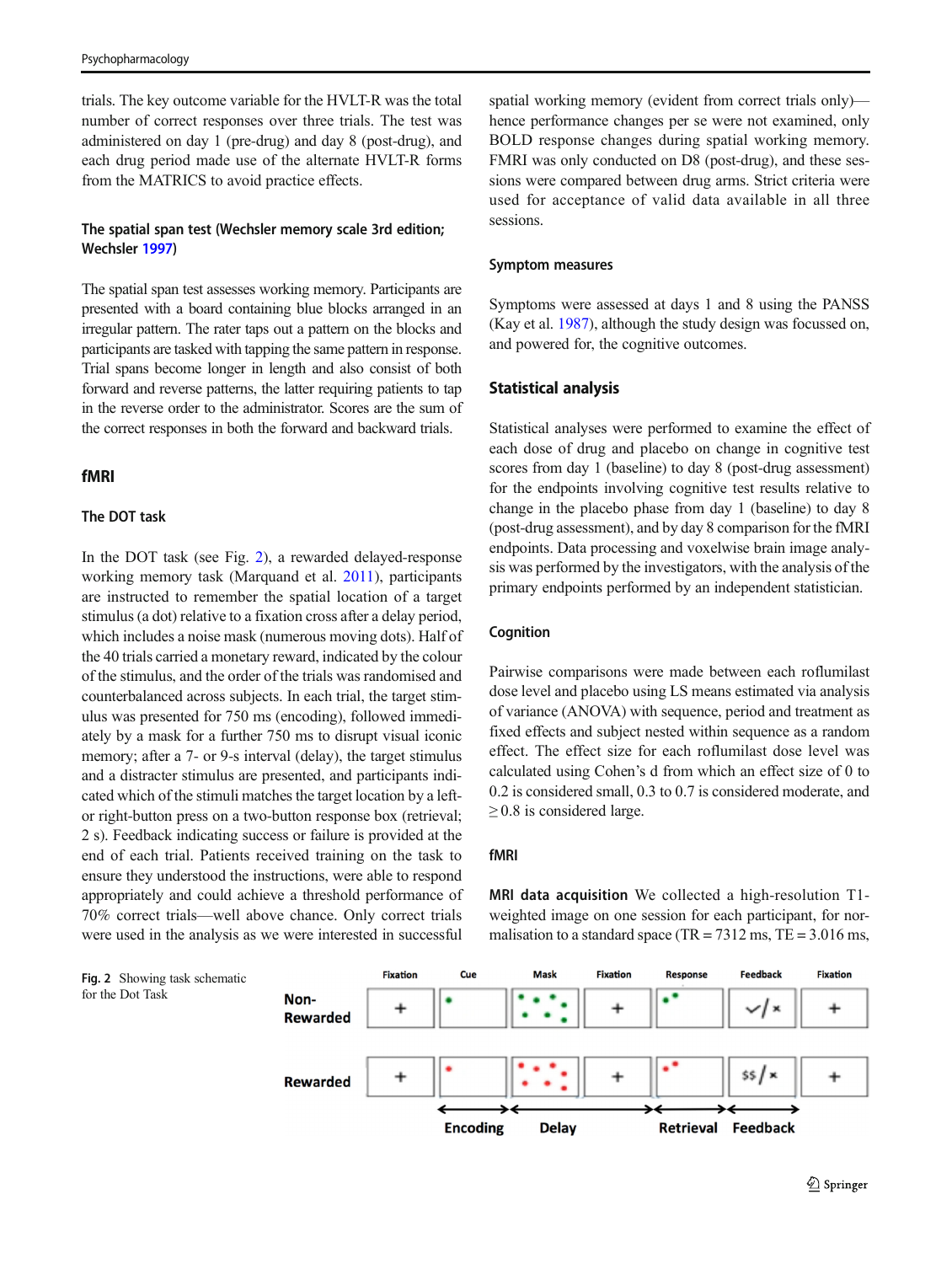trials. The key outcome variable for the HVLT-R was the total number of correct responses over three trials. The test was administered on day 1 (pre-drug) and day 8 (post-drug), and each drug period made use of the alternate HVLT-R forms from the MATRICS to avoid practice effects.

# The spatial span test (Wechsler memory scale 3rd edition; Wechsler [1997](#page-10-0))

The spatial span test assesses working memory. Participants are presented with a board containing blue blocks arranged in an irregular pattern. The rater taps out a pattern on the blocks and participants are tasked with tapping the same pattern in response. Trial spans become longer in length and also consist of both forward and reverse patterns, the latter requiring patients to tap in the reverse order to the administrator. Scores are the sum of the correct responses in both the forward and backward trials.

## fMRI

## The DOT task

for the Dot Task

In the DOT task (see Fig. 2), a rewarded delayed-response working memory task (Marquand et al. [2011](#page-9-0)), participants are instructed to remember the spatial location of a target stimulus (a dot) relative to a fixation cross after a delay period, which includes a noise mask (numerous moving dots). Half of the 40 trials carried a monetary reward, indicated by the colour of the stimulus, and the order of the trials was randomised and counterbalanced across subjects. In each trial, the target stimulus was presented for 750 ms (encoding), followed immediately by a mask for a further 750 ms to disrupt visual iconic memory; after a 7- or 9-s interval (delay), the target stimulus and a distracter stimulus are presented, and participants indicated which of the stimuli matches the target location by a leftor right-button press on a two-button response box (retrieval; 2 s). Feedback indicating success or failure is provided at the end of each trial. Patients received training on the task to ensure they understood the instructions, were able to respond appropriately and could achieve a threshold performance of 70% correct trials—well above chance. Only correct trials were used in the analysis as we were interested in successful

spatial working memory (evident from correct trials only) hence performance changes per se were not examined, only BOLD response changes during spatial working memory. FMRI was only conducted on D8 (post-drug), and these sessions were compared between drug arms. Strict criteria were used for acceptance of valid data available in all three sessions.

#### Symptom measures

Symptoms were assessed at days 1 and 8 using the PANSS (Kay et al. [1987\)](#page-9-0), although the study design was focussed on, and powered for, the cognitive outcomes.

## Statistical analysis

Statistical analyses were performed to examine the effect of each dose of drug and placebo on change in cognitive test scores from day 1 (baseline) to day 8 (post-drug assessment) for the endpoints involving cognitive test results relative to change in the placebo phase from day 1 (baseline) to day 8 (post-drug assessment), and by day 8 comparison for the fMRI endpoints. Data processing and voxelwise brain image analysis was performed by the investigators, with the analysis of the primary endpoints performed by an independent statistician.

## Cognition

Pairwise comparisons were made between each roflumilast dose level and placebo using LS means estimated via analysis of variance (ANOVA) with sequence, period and treatment as fixed effects and subject nested within sequence as a random effect. The effect size for each roflumilast dose level was calculated using Cohen's d from which an effect size of 0 to 0.2 is considered small, 0.3 to 0.7 is considered moderate, and  $\geq$  0.8 is considered large.

#### fMRI

MRI data acquisition We collected a high-resolution T1 weighted image on one session for each participant, for normalisation to a standard space (TR =  $7312$  ms, TE =  $3.016$  ms,

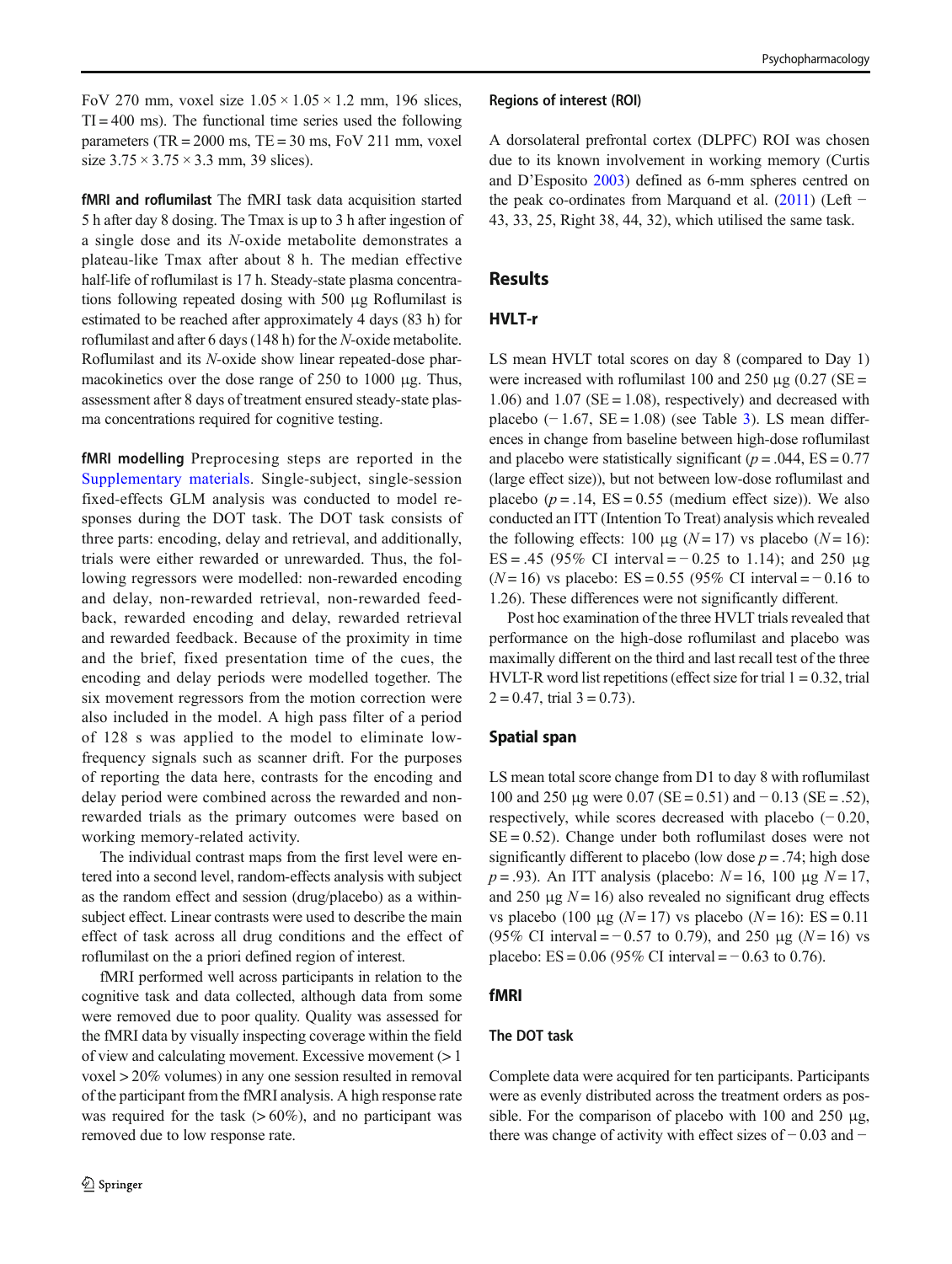FoV 270 mm, voxel size  $1.05 \times 1.05 \times 1.2$  mm, 196 slices,  $TI = 400$  ms). The functional time series used the following parameters (TR =  $2000$  ms, TE =  $30$  ms, FoV 211 mm, voxel size  $3.75 \times 3.75 \times 3.3$  mm, 39 slices).

fMRI and roflumilast The fMRI task data acquisition started 5 h after day 8 dosing. The Tmax is up to 3 h after ingestion of a single dose and its N-oxide metabolite demonstrates a plateau-like Tmax after about 8 h. The median effective half-life of roflumilast is 17 h. Steady-state plasma concentrations following repeated dosing with 500 μg Roflumilast is estimated to be reached after approximately 4 days (83 h) for roflumilast and after 6 days (148 h) for the N-oxide metabolite. Roflumilast and its N-oxide show linear repeated-dose pharmacokinetics over the dose range of 250 to 1000 μg. Thus, assessment after 8 days of treatment ensured steady-state plasma concentrations required for cognitive testing.

fMRI modelling Preprocesing steps are reported in the Supplementary materials. Single-subject, single-session fixed-effects GLM analysis was conducted to model responses during the DOT task. The DOT task consists of three parts: encoding, delay and retrieval, and additionally, trials were either rewarded or unrewarded. Thus, the following regressors were modelled: non-rewarded encoding and delay, non-rewarded retrieval, non-rewarded feedback, rewarded encoding and delay, rewarded retrieval and rewarded feedback. Because of the proximity in time and the brief, fixed presentation time of the cues, the encoding and delay periods were modelled together. The six movement regressors from the motion correction were also included in the model. A high pass filter of a period of 128 s was applied to the model to eliminate lowfrequency signals such as scanner drift. For the purposes of reporting the data here, contrasts for the encoding and delay period were combined across the rewarded and nonrewarded trials as the primary outcomes were based on working memory-related activity.

The individual contrast maps from the first level were entered into a second level, random-effects analysis with subject as the random effect and session (drug/placebo) as a withinsubject effect. Linear contrasts were used to describe the main effect of task across all drug conditions and the effect of roflumilast on the a priori defined region of interest.

fMRI performed well across participants in relation to the cognitive task and data collected, although data from some were removed due to poor quality. Quality was assessed for the fMRI data by visually inspecting coverage within the field of view and calculating movement. Excessive movement (> 1 voxel > 20% volumes) in any one session resulted in removal of the participant from the fMRI analysis. A high response rate was required for the task  $(> 60\%)$ , and no participant was removed due to low response rate.

#### Regions of interest (ROI)

A dorsolateral prefrontal cortex (DLPFC) ROI was chosen due to its known involvement in working memory (Curtis and D'Esposito [2003](#page-9-0)) defined as 6-mm spheres centred on the peak co-ordinates from Marquand et al.  $(2011)$  $(2011)$  $(2011)$  (Left – 43, 33, 25, Right 38, 44, 32), which utilised the same task.

# Results

### HVLT-r

LS mean HVLT total scores on day 8 (compared to Day 1) were increased with roflumilast 100 and 250  $\mu$ g (0.27 (SE = 1.06) and 1.07 ( $SE = 1.08$ ), respectively) and decreased with placebo  $(-1.67, SE = 1.08)$  (see Table [3\)](#page-6-0). LS mean differences in change from baseline between high-dose roflumilast and placebo were statistically significant ( $p = .044$ ,  $ES = 0.77$ ) (large effect size)), but not between low-dose roflumilast and placebo ( $p = .14$ , ES = 0.55 (medium effect size)). We also conducted an ITT (Intention To Treat) analysis which revealed the following effects: 100 μg ( $N = 17$ ) vs placebo ( $N = 16$ ): ES = .45 (95% CI interval =  $-0.25$  to 1.14); and 250 µg  $(N = 16)$  vs placebo: ES = 0.55 (95% CI interval = -0.16 to 1.26). These differences were not significantly different.

Post hoc examination of the three HVLT trials revealed that performance on the high-dose roflumilast and placebo was maximally different on the third and last recall test of the three HVLT-R word list repetitions (effect size for trial  $1 = 0.32$ , trial  $2 = 0.47$ , trial  $3 = 0.73$ ).

#### Spatial span

LS mean total score change from D1 to day 8 with roflumilast 100 and 250 μg were 0.07 (SE = 0.51) and − 0.13 (SE = .52), respectively, while scores decreased with placebo (− 0.20,  $SE = 0.52$ ). Change under both roflumilast doses were not significantly different to placebo (low dose  $p = .74$ ; high dose  $p = .93$ ). An ITT analysis (placebo:  $N = 16$ , 100 μg  $N = 17$ , and 250 μg  $N = 16$ ) also revealed no significant drug effects vs placebo (100 μg ( $N = 17$ ) vs placebo ( $N = 16$ ): ES = 0.11 (95% CI interval =  $-0.57$  to 0.79), and 250 µg (N = 16) vs placebo: ES =  $0.06$  (95% CI interval =  $-0.63$  to 0.76).

## fMRI

#### The DOT task

Complete data were acquired for ten participants. Participants were as evenly distributed across the treatment orders as possible. For the comparison of placebo with 100 and 250  $\mu$ g, there was change of activity with effect sizes of  $-0.03$  and  $-$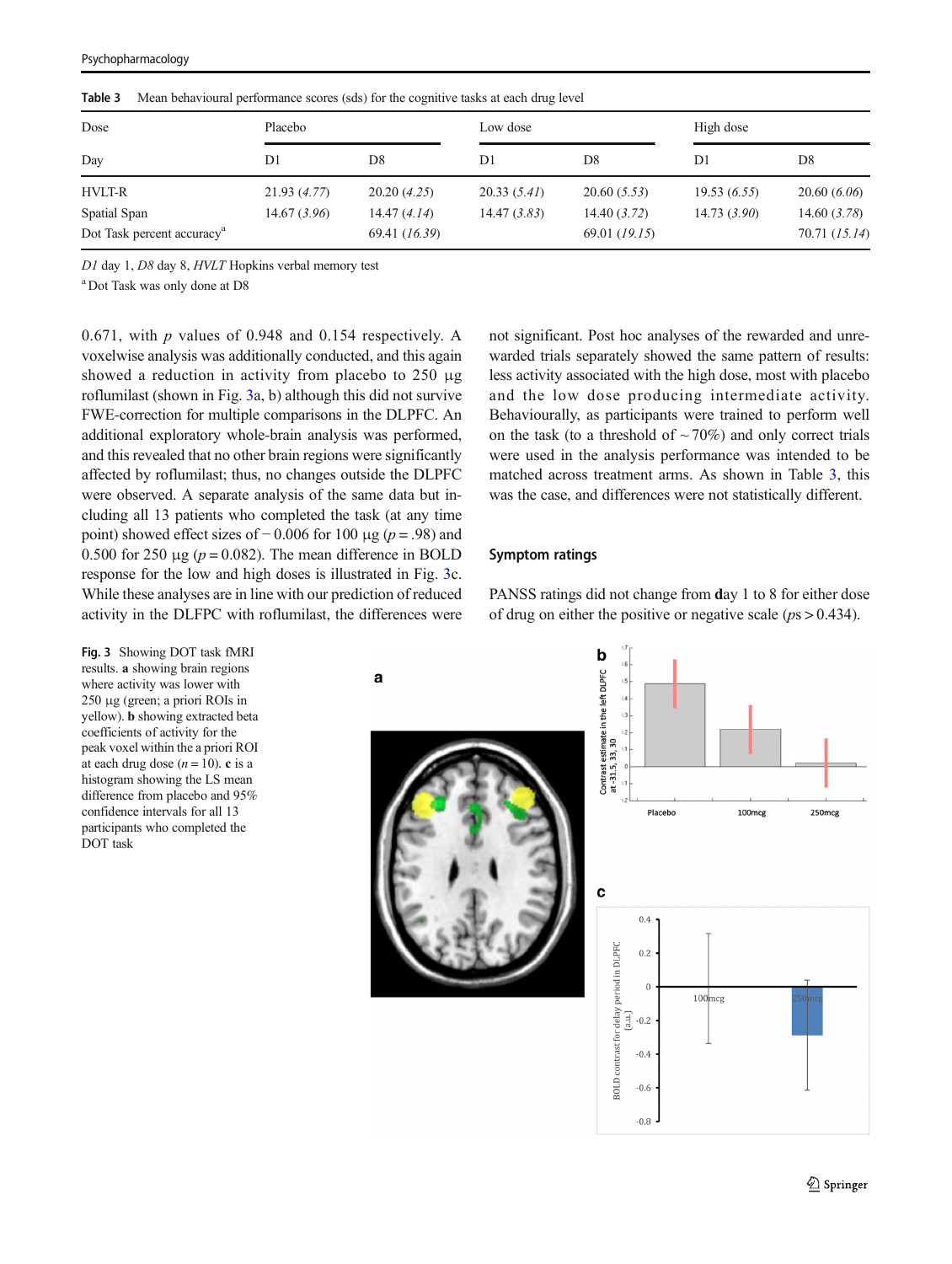| Dose<br>Day                            | Placebo     |               | Low dose    |               | High dose   |                |
|----------------------------------------|-------------|---------------|-------------|---------------|-------------|----------------|
|                                        | D1          | D8            | D1          | D8            | D1          | D <sub>8</sub> |
| HVLT-R                                 | 21.93(4.77) | 20.20(4.25)   | 20.33(5.41) | 20.60(5.53)   | 19.53(6.55) | 20.60(6.06)    |
| Spatial Span                           | 14.67(3.96) | 14.47(4.14)   | 14.47(3.83) | 14.40(3.72)   | 14.73(3.90) | 14.60(3.78)    |
| Dot Task percent accuracy <sup>a</sup> |             | 69.41 (16.39) |             | 69.01 (19.15) |             | 70.71 (15.14)  |

<span id="page-6-0"></span>Table 3 Mean behavioural performance scores (sds) for the cognitive tasks at each drug level

D1 day 1, D8 day 8, HVLT Hopkins verbal memory test

a Dot Task was only done at D8

0.671, with p values of 0.948 and 0.154 respectively. A voxelwise analysis was additionally conducted, and this again showed a reduction in activity from placebo to 250 μg roflumilast (shown in Fig. 3a, b) although this did not survive FWE-correction for multiple comparisons in the DLPFC. An additional exploratory whole-brain analysis was performed, and this revealed that no other brain regions were significantly affected by roflumilast; thus, no changes outside the DLPFC were observed. A separate analysis of the same data but including all 13 patients who completed the task (at any time point) showed effect sizes of  $-0.006$  for 100 μg ( $p = .98$ ) and 0.500 for 250  $\mu$ g ( $p = 0.082$ ). The mean difference in BOLD response for the low and high doses is illustrated in Fig. 3c. While these analyses are in line with our prediction of reduced activity in the DLFPC with roflumilast, the differences were not significant. Post hoc analyses of the rewarded and unrewarded trials separately showed the same pattern of results: less activity associated with the high dose, most with placebo and the low dose producing intermediate activity. Behaviourally, as participants were trained to perform well on the task (to a threshold of  $\sim$  70%) and only correct trials were used in the analysis performance was intended to be matched across treatment arms. As shown in Table 3, this was the case, and differences were not statistically different.

#### Symptom ratings

b

PANSS ratings did not change from day 1 to 8 for either dose of drug on either the positive or negative scale ( $p_s > 0.434$ ).

Fig. 3 Showing DOT task fMRI results. a showing brain regions where activity was lower with 250 μg (green; a priori ROIs in yellow). b showing extracted beta coefficients of activity for the peak voxel within the a priori ROI at each drug dose  $(n = 10)$ . c is a histogram showing the LS mean difference from placebo and 95% confidence intervals for all 13 participants who completed the DOT task

a



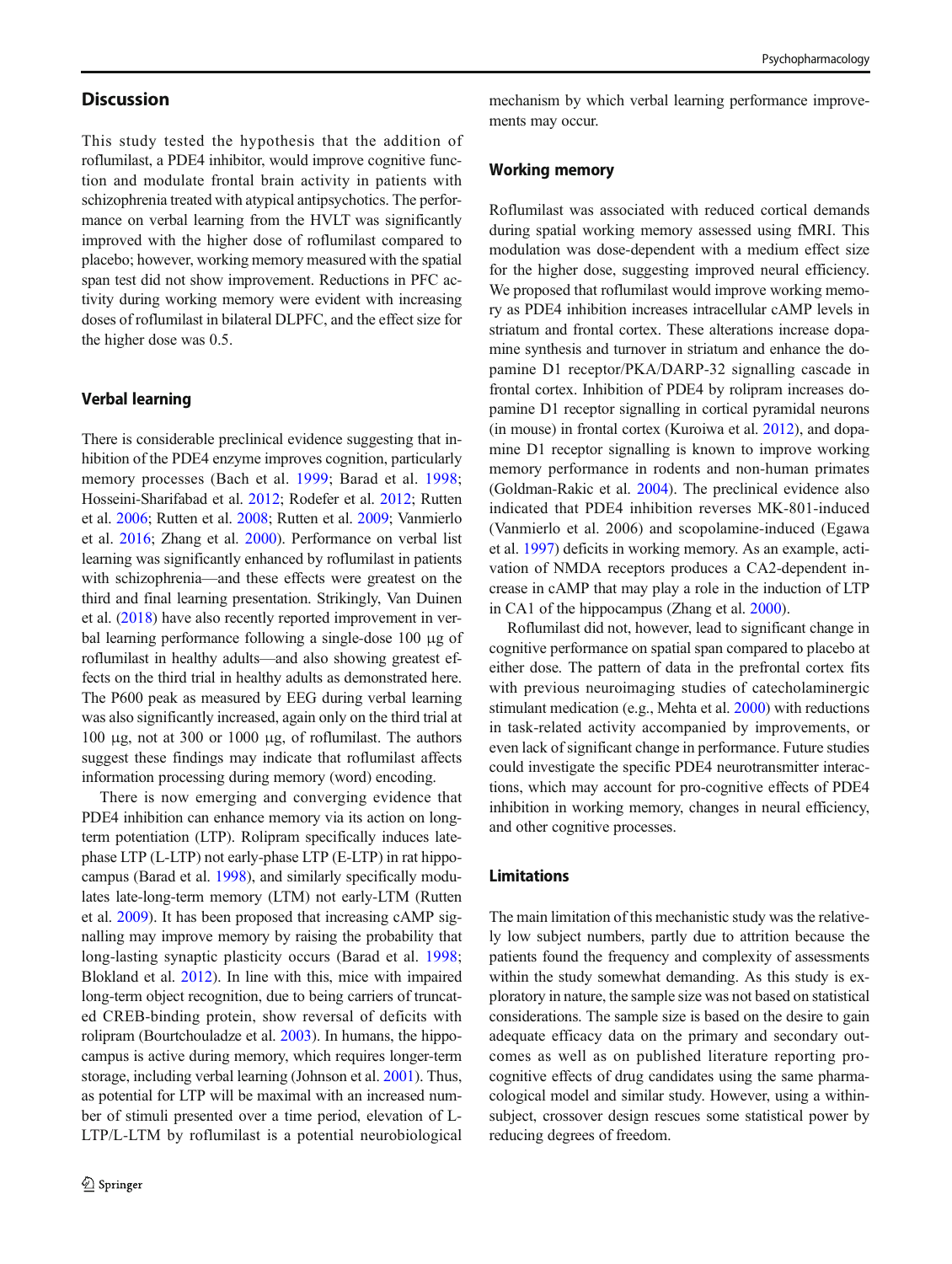# **Discussion**

This study tested the hypothesis that the addition of roflumilast, a PDE4 inhibitor, would improve cognitive function and modulate frontal brain activity in patients with schizophrenia treated with atypical antipsychotics. The performance on verbal learning from the HVLT was significantly improved with the higher dose of roflumilast compared to placebo; however, working memory measured with the spatial span test did not show improvement. Reductions in PFC activity during working memory were evident with increasing doses of roflumilast in bilateral DLPFC, and the effect size for the higher dose was 0.5.

#### Verbal learning

There is considerable preclinical evidence suggesting that inhibition of the PDE4 enzyme improves cognition, particularly memory processes (Bach et al. [1999;](#page-9-0) Barad et al. [1998](#page-9-0); Hosseini-Sharifabad et al. [2012](#page-9-0); Rodefer et al. [2012](#page-10-0); Rutten et al. [2006](#page-10-0); Rutten et al. [2008;](#page-10-0) Rutten et al. [2009](#page-10-0); Vanmierlo et al. [2016;](#page-10-0) Zhang et al. [2000](#page-10-0)). Performance on verbal list learning was significantly enhanced by roflumilast in patients with schizophrenia—and these effects were greatest on the third and final learning presentation. Strikingly, Van Duinen et al. ([2018](#page-10-0)) have also recently reported improvement in verbal learning performance following a single-dose 100 μg of roflumilast in healthy adults—and also showing greatest effects on the third trial in healthy adults as demonstrated here. The P600 peak as measured by EEG during verbal learning was also significantly increased, again only on the third trial at 100 μg, not at 300 or 1000 μg, of roflumilast. The authors suggest these findings may indicate that roflumilast affects information processing during memory (word) encoding.

There is now emerging and converging evidence that PDE4 inhibition can enhance memory via its action on longterm potentiation (LTP). Rolipram specifically induces latephase LTP (L-LTP) not early-phase LTP (E-LTP) in rat hippocampus (Barad et al. [1998](#page-9-0)), and similarly specifically modulates late-long-term memory (LTM) not early-LTM (Rutten et al. [2009\)](#page-10-0). It has been proposed that increasing cAMP signalling may improve memory by raising the probability that long-lasting synaptic plasticity occurs (Barad et al. [1998](#page-9-0); Blokland et al. [2012\)](#page-9-0). In line with this, mice with impaired long-term object recognition, due to being carriers of truncated CREB-binding protein, show reversal of deficits with rolipram (Bourtchouladze et al. [2003](#page-9-0)). In humans, the hippocampus is active during memory, which requires longer-term storage, including verbal learning (Johnson et al. [2001](#page-9-0)). Thus, as potential for LTP will be maximal with an increased number of stimuli presented over a time period, elevation of L-LTP/L-LTM by roflumilast is a potential neurobiological mechanism by which verbal learning performance improvements may occur.

#### Working memory

Roflumilast was associated with reduced cortical demands during spatial working memory assessed using fMRI. This modulation was dose-dependent with a medium effect size for the higher dose, suggesting improved neural efficiency. We proposed that roflumilast would improve working memory as PDE4 inhibition increases intracellular cAMP levels in striatum and frontal cortex. These alterations increase dopamine synthesis and turnover in striatum and enhance the dopamine D1 receptor/PKA/DARP-32 signalling cascade in frontal cortex. Inhibition of PDE4 by rolipram increases dopamine D1 receptor signalling in cortical pyramidal neurons (in mouse) in frontal cortex (Kuroiwa et al. [2012](#page-9-0)), and dopamine D1 receptor signalling is known to improve working memory performance in rodents and non-human primates (Goldman-Rakic et al. [2004](#page-9-0)). The preclinical evidence also indicated that PDE4 inhibition reverses MK-801-induced (Vanmierlo et al. 2006) and scopolamine-induced (Egawa et al. [1997\)](#page-9-0) deficits in working memory. As an example, activation of NMDA receptors produces a CA2-dependent increase in cAMP that may play a role in the induction of LTP in CA1 of the hippocampus (Zhang et al. [2000\)](#page-10-0).

Roflumilast did not, however, lead to significant change in cognitive performance on spatial span compared to placebo at either dose. The pattern of data in the prefrontal cortex fits with previous neuroimaging studies of catecholaminergic stimulant medication (e.g., Mehta et al. [2000\)](#page-9-0) with reductions in task-related activity accompanied by improvements, or even lack of significant change in performance. Future studies could investigate the specific PDE4 neurotransmitter interactions, which may account for pro-cognitive effects of PDE4 inhibition in working memory, changes in neural efficiency, and other cognitive processes.

#### Limitations

The main limitation of this mechanistic study was the relatively low subject numbers, partly due to attrition because the patients found the frequency and complexity of assessments within the study somewhat demanding. As this study is exploratory in nature, the sample size was not based on statistical considerations. The sample size is based on the desire to gain adequate efficacy data on the primary and secondary outcomes as well as on published literature reporting procognitive effects of drug candidates using the same pharmacological model and similar study. However, using a withinsubject, crossover design rescues some statistical power by reducing degrees of freedom.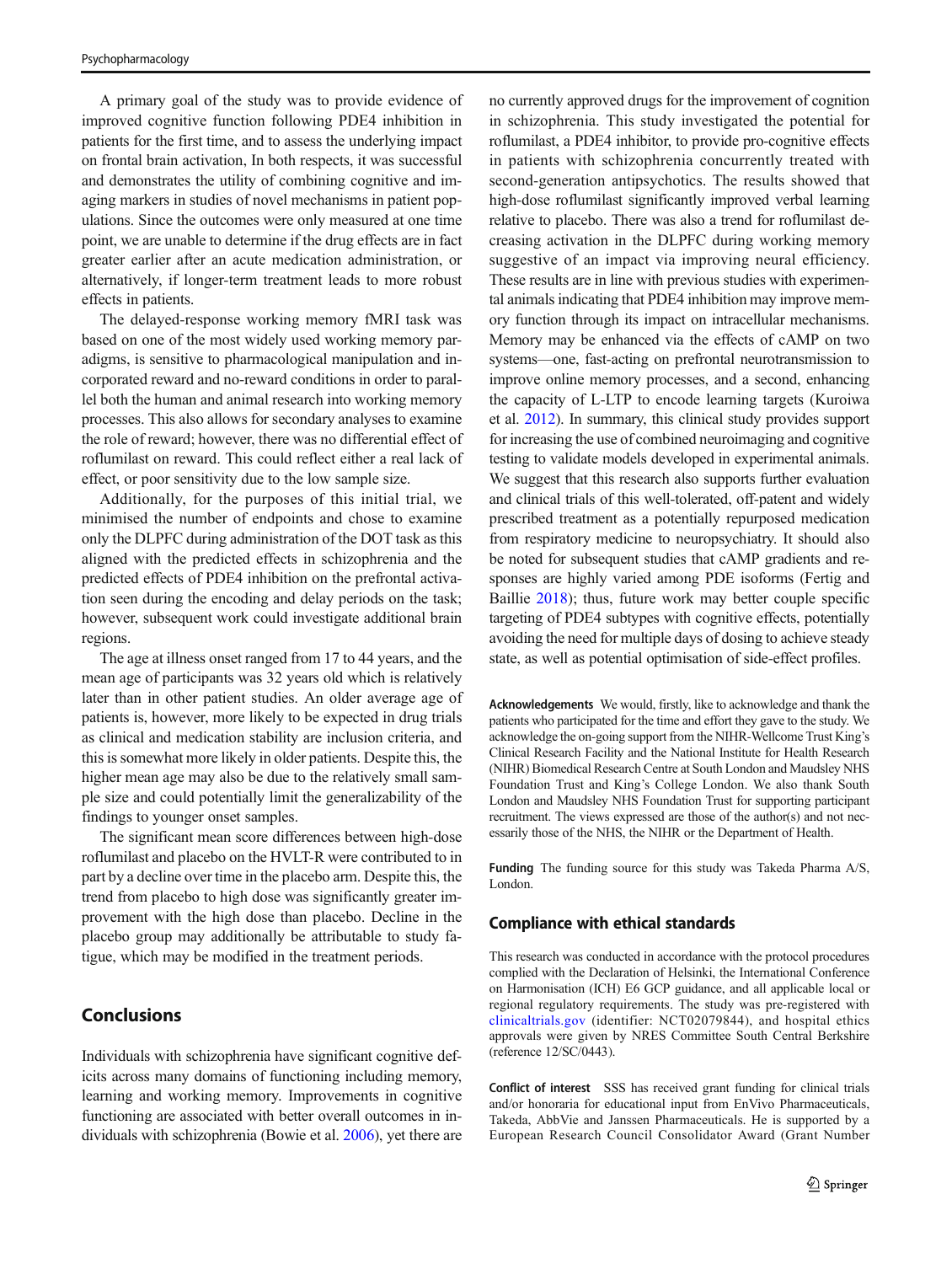A primary goal of the study was to provide evidence of improved cognitive function following PDE4 inhibition in patients for the first time, and to assess the underlying impact on frontal brain activation, In both respects, it was successful and demonstrates the utility of combining cognitive and imaging markers in studies of novel mechanisms in patient populations. Since the outcomes were only measured at one time point, we are unable to determine if the drug effects are in fact greater earlier after an acute medication administration, or alternatively, if longer-term treatment leads to more robust effects in patients.

The delayed-response working memory fMRI task was based on one of the most widely used working memory paradigms, is sensitive to pharmacological manipulation and incorporated reward and no-reward conditions in order to parallel both the human and animal research into working memory processes. This also allows for secondary analyses to examine the role of reward; however, there was no differential effect of roflumilast on reward. This could reflect either a real lack of effect, or poor sensitivity due to the low sample size.

Additionally, for the purposes of this initial trial, we minimised the number of endpoints and chose to examine only the DLPFC during administration of the DOT task as this aligned with the predicted effects in schizophrenia and the predicted effects of PDE4 inhibition on the prefrontal activation seen during the encoding and delay periods on the task; however, subsequent work could investigate additional brain regions.

The age at illness onset ranged from 17 to 44 years, and the mean age of participants was 32 years old which is relatively later than in other patient studies. An older average age of patients is, however, more likely to be expected in drug trials as clinical and medication stability are inclusion criteria, and this is somewhat more likely in older patients. Despite this, the higher mean age may also be due to the relatively small sample size and could potentially limit the generalizability of the findings to younger onset samples.

The significant mean score differences between high-dose roflumilast and placebo on the HVLT-R were contributed to in part by a decline over time in the placebo arm. Despite this, the trend from placebo to high dose was significantly greater improvement with the high dose than placebo. Decline in the placebo group may additionally be attributable to study fatigue, which may be modified in the treatment periods.

# Conclusions

Individuals with schizophrenia have significant cognitive deficits across many domains of functioning including memory, learning and working memory. Improvements in cognitive functioning are associated with better overall outcomes in individuals with schizophrenia (Bowie et al. [2006](#page-9-0)), yet there are no currently approved drugs for the improvement of cognition in schizophrenia. This study investigated the potential for roflumilast, a PDE4 inhibitor, to provide pro-cognitive effects in patients with schizophrenia concurrently treated with second-generation antipsychotics. The results showed that high-dose roflumilast significantly improved verbal learning relative to placebo. There was also a trend for roflumilast decreasing activation in the DLPFC during working memory suggestive of an impact via improving neural efficiency. These results are in line with previous studies with experimental animals indicating that PDE4 inhibition may improve memory function through its impact on intracellular mechanisms. Memory may be enhanced via the effects of cAMP on two systems—one, fast-acting on prefrontal neurotransmission to improve online memory processes, and a second, enhancing the capacity of L-LTP to encode learning targets (Kuroiwa et al. [2012\)](#page-9-0). In summary, this clinical study provides support for increasing the use of combined neuroimaging and cognitive testing to validate models developed in experimental animals. We suggest that this research also supports further evaluation and clinical trials of this well-tolerated, off-patent and widely prescribed treatment as a potentially repurposed medication from respiratory medicine to neuropsychiatry. It should also be noted for subsequent studies that cAMP gradients and responses are highly varied among PDE isoforms (Fertig and Baillie [2018](#page-9-0)); thus, future work may better couple specific targeting of PDE4 subtypes with cognitive effects, potentially avoiding the need for multiple days of dosing to achieve steady state, as well as potential optimisation of side-effect profiles.

Acknowledgements We would, firstly, like to acknowledge and thank the patients who participated for the time and effort they gave to the study. We acknowledge the on-going support from the NIHR-Wellcome Trust King's Clinical Research Facility and the National Institute for Health Research (NIHR) Biomedical Research Centre at South London and Maudsley NHS Foundation Trust and King's College London. We also thank South London and Maudsley NHS Foundation Trust for supporting participant recruitment. The views expressed are those of the author(s) and not necessarily those of the NHS, the NIHR or the Department of Health.

Funding The funding source for this study was Takeda Pharma A/S, London.

## Compliance with ethical standards

This research was conducted in accordance with the protocol procedures complied with the Declaration of Helsinki, the International Conference on Harmonisation (ICH) E6 GCP guidance, and all applicable local or regional regulatory requirements. The study was pre-registered with [clinicaltrials.gov](http://clinicaltrials.gov) (identifier: NCT02079844), and hospital ethics approvals were given by NRES Committee South Central Berkshire (reference 12/SC/0443).

Conflict of interest SSS has received grant funding for clinical trials and/or honoraria for educational input from EnVivo Pharmaceuticals, Takeda, AbbVie and Janssen Pharmaceuticals. He is supported by a European Research Council Consolidator Award (Grant Number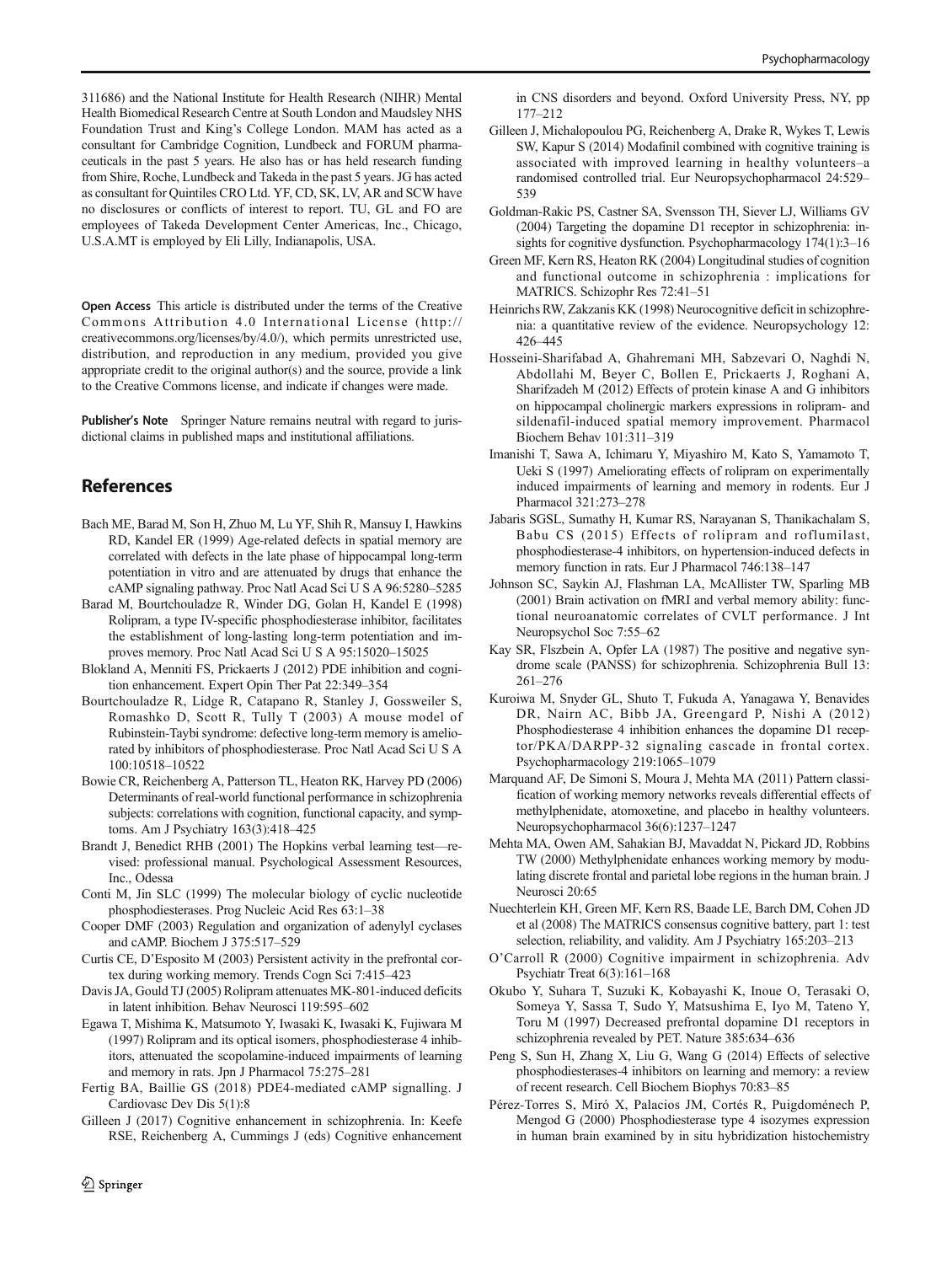<span id="page-9-0"></span>311686) and the National Institute for Health Research (NIHR) Mental Health Biomedical Research Centre at South London and Maudsley NHS Foundation Trust and King's College London. MAM has acted as a consultant for Cambridge Cognition, Lundbeck and FORUM pharmaceuticals in the past 5 years. He also has or has held research funding from Shire, Roche, Lundbeck and Takeda in the past 5 years. JG has acted as consultant for Quintiles CRO Ltd. YF, CD, SK, LV, AR and SCW have no disclosures or conflicts of interest to report. TU, GL and FO are employees of Takeda Development Center Americas, Inc., Chicago, U.S.A.MT is employed by Eli Lilly, Indianapolis, USA.

Open Access This article is distributed under the terms of the Creative Commons Attribution 4.0 International License (http:// creativecommons.org/licenses/by/4.0/), which permits unrestricted use, distribution, and reproduction in any medium, provided you give appropriate credit to the original author(s) and the source, provide a link to the Creative Commons license, and indicate if changes were made.

Publisher's Note Springer Nature remains neutral with regard to jurisdictional claims in published maps and institutional affiliations.

# **References**

- Bach ME, Barad M, Son H, Zhuo M, Lu YF, Shih R, Mansuy I, Hawkins RD, Kandel ER (1999) Age-related defects in spatial memory are correlated with defects in the late phase of hippocampal long-term potentiation in vitro and are attenuated by drugs that enhance the cAMP signaling pathway. Proc Natl Acad Sci U S A 96:5280–5285
- Barad M, Bourtchouladze R, Winder DG, Golan H, Kandel E (1998) Rolipram, a type IV-specific phosphodiesterase inhibitor, facilitates the establishment of long-lasting long-term potentiation and improves memory. Proc Natl Acad Sci U S A 95:15020–15025
- Blokland A, Menniti FS, Prickaerts J (2012) PDE inhibition and cognition enhancement. Expert Opin Ther Pat 22:349–354
- Bourtchouladze R, Lidge R, Catapano R, Stanley J, Gossweiler S, Romashko D, Scott R, Tully T (2003) A mouse model of Rubinstein-Taybi syndrome: defective long-term memory is ameliorated by inhibitors of phosphodiesterase. Proc Natl Acad Sci U S A 100:10518–10522
- Bowie CR, Reichenberg A, Patterson TL, Heaton RK, Harvey PD (2006) Determinants of real-world functional performance in schizophrenia subjects: correlations with cognition, functional capacity, and symptoms. Am J Psychiatry 163(3):418–425
- Brandt J, Benedict RHB (2001) The Hopkins verbal learning test—revised: professional manual. Psychological Assessment Resources, Inc., Odessa
- Conti M, Jin SLC (1999) The molecular biology of cyclic nucleotide phosphodiesterases. Prog Nucleic Acid Res 63:1–38
- Cooper DMF (2003) Regulation and organization of adenylyl cyclases and cAMP. Biochem J 375:517–529
- Curtis CE, D'Esposito M (2003) Persistent activity in the prefrontal cortex during working memory. Trends Cogn Sci 7:415–423
- Davis JA, Gould TJ (2005) Rolipram attenuates MK-801-induced deficits in latent inhibition. Behav Neurosci 119:595–602
- Egawa T, Mishima K, Matsumoto Y, Iwasaki K, Iwasaki K, Fujiwara M (1997) Rolipram and its optical isomers, phosphodiesterase 4 inhibitors, attenuated the scopolamine-induced impairments of learning and memory in rats. Jpn J Pharmacol 75:275–281
- Fertig BA, Baillie GS (2018) PDE4-mediated cAMP signalling. J Cardiovasc Dev Dis 5(1):8
- Gilleen J (2017) Cognitive enhancement in schizophrenia. In: Keefe RSE, Reichenberg A, Cummings J (eds) Cognitive enhancement

in CNS disorders and beyond. Oxford University Press, NY, pp 177–212

- Gilleen J, Michalopoulou PG, Reichenberg A, Drake R, Wykes T, Lewis SW, Kapur S (2014) Modafinil combined with cognitive training is associated with improved learning in healthy volunteers–a randomised controlled trial. Eur Neuropsychopharmacol 24:529– 539
- Goldman-Rakic PS, Castner SA, Svensson TH, Siever LJ, Williams GV (2004) Targeting the dopamine D1 receptor in schizophrenia: insights for cognitive dysfunction. Psychopharmacology 174(1):3–16
- Green MF, Kern RS, Heaton RK (2004) Longitudinal studies of cognition and functional outcome in schizophrenia : implications for MATRICS. Schizophr Res 72:41–51
- Heinrichs RW, Zakzanis KK (1998) Neurocognitive deficit in schizophrenia: a quantitative review of the evidence. Neuropsychology 12: 426–445
- Hosseini-Sharifabad A, Ghahremani MH, Sabzevari O, Naghdi N, Abdollahi M, Beyer C, Bollen E, Prickaerts J, Roghani A, Sharifzadeh M (2012) Effects of protein kinase A and G inhibitors on hippocampal cholinergic markers expressions in rolipram- and sildenafil-induced spatial memory improvement. Pharmacol Biochem Behav 101:311–319
- Imanishi T, Sawa A, Ichimaru Y, Miyashiro M, Kato S, Yamamoto T, Ueki S (1997) Ameliorating effects of rolipram on experimentally induced impairments of learning and memory in rodents. Eur J Pharmacol 321:273–278
- Jabaris SGSL, Sumathy H, Kumar RS, Narayanan S, Thanikachalam S, Babu CS (2015) Effects of rolipram and roflumilast, phosphodiesterase-4 inhibitors, on hypertension-induced defects in memory function in rats. Eur J Pharmacol 746:138–147
- Johnson SC, Saykin AJ, Flashman LA, McAllister TW, Sparling MB (2001) Brain activation on fMRI and verbal memory ability: functional neuroanatomic correlates of CVLT performance. J Int Neuropsychol Soc 7:55–62
- Kay SR, Flszbein A, Opfer LA (1987) The positive and negative syndrome scale (PANSS) for schizophrenia. Schizophrenia Bull 13: 261–276
- Kuroiwa M, Snyder GL, Shuto T, Fukuda A, Yanagawa Y, Benavides DR, Nairn AC, Bibb JA, Greengard P, Nishi A (2012) Phosphodiesterase 4 inhibition enhances the dopamine D1 receptor/PKA/DARPP-32 signaling cascade in frontal cortex. Psychopharmacology 219:1065–1079
- Marquand AF, De Simoni S, Moura J, Mehta MA (2011) Pattern classification of working memory networks reveals differential effects of methylphenidate, atomoxetine, and placebo in healthy volunteers. Neuropsychopharmacol 36(6):1237–1247
- Mehta MA, Owen AM, Sahakian BJ, Mavaddat N, Pickard JD, Robbins TW (2000) Methylphenidate enhances working memory by modulating discrete frontal and parietal lobe regions in the human brain. J Neurosci 20:65
- Nuechterlein KH, Green MF, Kern RS, Baade LE, Barch DM, Cohen JD et al (2008) The MATRICS consensus cognitive battery, part 1: test selection, reliability, and validity. Am J Psychiatry 165:203–213
- O'Carroll R (2000) Cognitive impairment in schizophrenia. Adv Psychiatr Treat 6(3):161–168
- Okubo Y, Suhara T, Suzuki K, Kobayashi K, Inoue O, Terasaki O, Someya Y, Sassa T, Sudo Y, Matsushima E, Iyo M, Tateno Y, Toru M (1997) Decreased prefrontal dopamine D1 receptors in schizophrenia revealed by PET. Nature 385:634–636
- Peng S, Sun H, Zhang X, Liu G, Wang G (2014) Effects of selective phosphodiesterases-4 inhibitors on learning and memory: a review of recent research. Cell Biochem Biophys 70:83–85
- Pérez-Torres S, Miró X, Palacios JM, Cortés R, Puigdoménech P, Mengod G (2000) Phosphodiesterase type 4 isozymes expression in human brain examined by in situ hybridization histochemistry